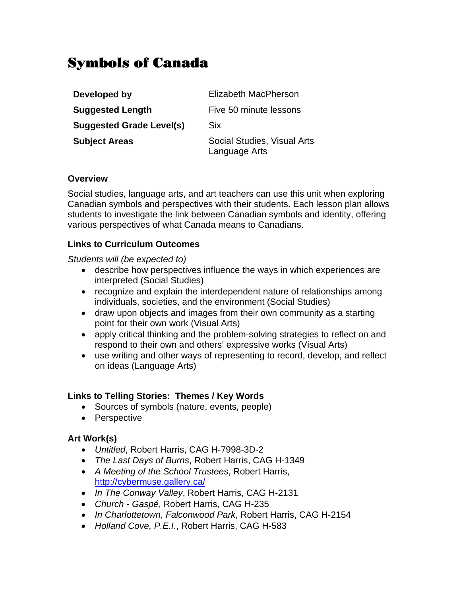# Symbols of Canada

| Developed by                    | Elizabeth MacPherson                         |
|---------------------------------|----------------------------------------------|
| <b>Suggested Length</b>         | Five 50 minute lessons                       |
| <b>Suggested Grade Level(s)</b> | Six                                          |
| <b>Subject Areas</b>            | Social Studies, Visual Arts<br>Language Arts |

#### **Overview**

Social studies, language arts, and art teachers can use this unit when exploring Canadian symbols and perspectives with their students. Each lesson plan allows students to investigate the link between Canadian symbols and identity, offering various perspectives of what Canada means to Canadians.

#### **Links to Curriculum Outcomes**

*Students will (be expected to)* 

- describe how perspectives influence the ways in which experiences are interpreted (Social Studies)
- recognize and explain the interdependent nature of relationships among individuals, societies, and the environment (Social Studies)
- draw upon objects and images from their own community as a starting point for their own work (Visual Arts)
- apply critical thinking and the problem-solving strategies to reflect on and respond to their own and others' expressive works (Visual Arts)
- use writing and other ways of representing to record, develop, and reflect on ideas (Language Arts)

#### **Links to Telling Stories: Themes / Key Words**

- Sources of symbols (nature, events, people)
- Perspective

### **Art Work(s)**

- *Untitled*, Robert Harris, CAG H-7998-3D-2
- *The Last Days of Burns*, Robert Harris, CAG H-1349
- *A Meeting of the School Trustees*, Robert Harris, http://cybermuse.gallery.ca/
- *In The Conway Valley*, Robert Harris, CAG H-2131
- *Church Gaspé*, Robert Harris, CAG H-235
- *In Charlottetown, Falconwood Park*, Robert Harris, CAG H-2154
- *Holland Cove, P.E.I*., Robert Harris, CAG H-583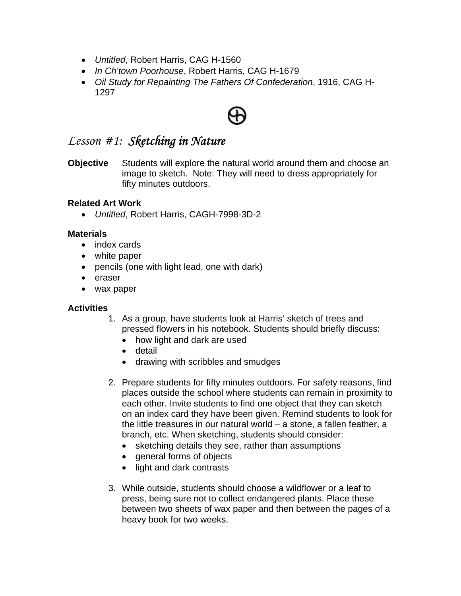- *Untitled*, Robert Harris, CAG H-1560
- *In Ch'town Poorhouse*, Robert Harris, CAG H-1679
- *Oil Study for Repainting The Fathers Of Confederation*, 1916, CAG H-1297

## *Lesson #1: Sketching in Nature*

**Objective** Students will explore the natural world around them and choose an image to sketch. Note: They will need to dress appropriately for fifty minutes outdoors.

#### **Related Art Work**

• *Untitled*, Robert Harris, CAGH-7998-3D-2

#### **Materials**

- index cards
- white paper
- pencils (one with light lead, one with dark)
- eraser
- wax paper

#### **Activities**

- 1. As a group, have students look at Harris' sketch of trees and pressed flowers in his notebook. Students should briefly discuss:
	- how light and dark are used
	- detail
	- drawing with scribbles and smudges
- 2. Prepare students for fifty minutes outdoors. For safety reasons, find places outside the school where students can remain in proximity to each other. Invite students to find one object that they can sketch on an index card they have been given. Remind students to look for the little treasures in our natural world – a stone, a fallen feather, a branch, etc. When sketching, students should consider:
	- sketching details they see, rather than assumptions
	- general forms of objects
	- light and dark contrasts
- 3. While outside, students should choose a wildflower or a leaf to press, being sure not to collect endangered plants. Place these between two sheets of wax paper and then between the pages of a heavy book for two weeks.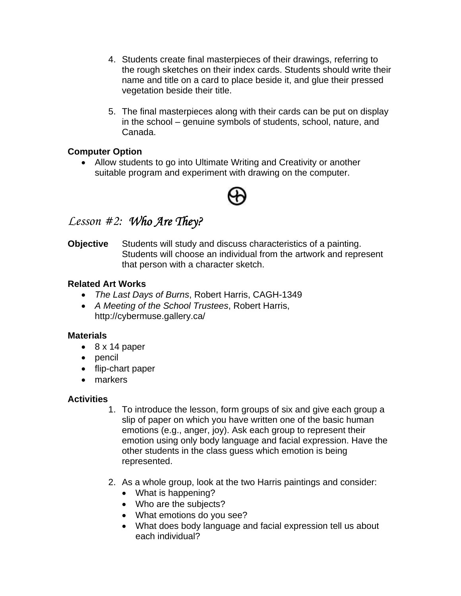- 4. Students create final masterpieces of their drawings, referring to the rough sketches on their index cards. Students should write their name and title on a card to place beside it, and glue their pressed vegetation beside their title.
- 5. The final masterpieces along with their cards can be put on display in the school – genuine symbols of students, school, nature, and Canada.

#### **Computer Option**

• Allow students to go into Ultimate Writing and Creativity or another suitable program and experiment with drawing on the computer.



## *Lesson #2: Who Are They?*

**Objective** Students will study and discuss characteristics of a painting. Students will choose an individual from the artwork and represent that person with a character sketch.

#### **Related Art Works**

- *The Last Days of Burns*, Robert Harris, CAGH-1349
- *A Meeting of the School Trustees*, Robert Harris, http://cybermuse.gallery.ca/

#### **Materials**

- 8 x 14 paper
- pencil
- flip-chart paper
- markers

### **Activities**

- 1. To introduce the lesson, form groups of six and give each group a slip of paper on which you have written one of the basic human emotions (e.g., anger, joy). Ask each group to represent their emotion using only body language and facial expression. Have the other students in the class guess which emotion is being represented.
- 2. As a whole group, look at the two Harris paintings and consider:
	- What is happening?
	- Who are the subjects?
	- What emotions do you see?
	- What does body language and facial expression tell us about each individual?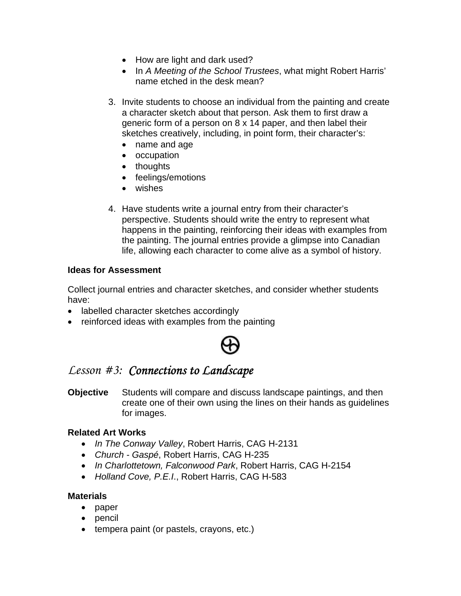- How are light and dark used?
- In *A Meeting of the School Trustees*, what might Robert Harris' name etched in the desk mean?
- 3. Invite students to choose an individual from the painting and create a character sketch about that person. Ask them to first draw a generic form of a person on 8 x 14 paper, and then label their sketches creatively, including, in point form, their character's:
	- name and age
	- occupation
	- thoughts
	- feelings/emotions
	- wishes
- 4. Have students write a journal entry from their character's perspective. Students should write the entry to represent what happens in the painting, reinforcing their ideas with examples from the painting. The journal entries provide a glimpse into Canadian life, allowing each character to come alive as a symbol of history.

#### **Ideas for Assessment**

Collect journal entries and character sketches, and consider whether students have:

- labelled character sketches accordingly
- reinforced ideas with examples from the painting



## *Lesson #3: Connections to Landscape*

**Objective** Students will compare and discuss landscape paintings, and then create one of their own using the lines on their hands as guidelines for images.

#### **Related Art Works**

- *In The Conway Valley*, Robert Harris, CAG H-2131
- *Church Gaspé*, Robert Harris, CAG H-235
- *In Charlottetown, Falconwood Park*, Robert Harris, CAG H-2154
- *Holland Cove, P.E.I*., Robert Harris, CAG H-583

#### **Materials**

- paper
- pencil
- tempera paint (or pastels, crayons, etc.)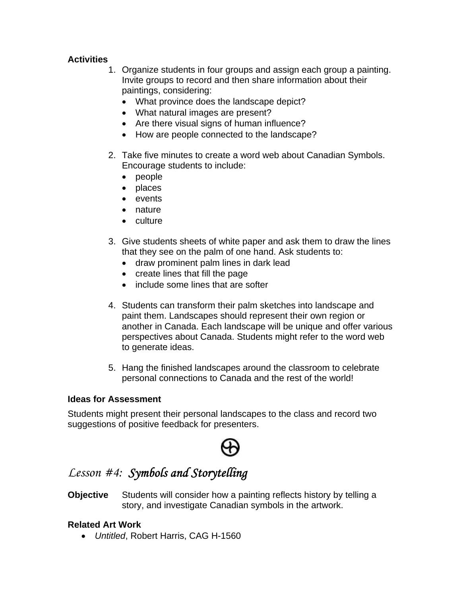### **Activities**

- 1. Organize students in four groups and assign each group a painting. Invite groups to record and then share information about their paintings, considering:
	- What province does the landscape depict?
	- What natural images are present?
	- Are there visual signs of human influence?
	- How are people connected to the landscape?
- 2. Take five minutes to create a word web about Canadian Symbols. Encourage students to include:
	- people
	- places
	- events
	- nature
	- culture
- 3. Give students sheets of white paper and ask them to draw the lines that they see on the palm of one hand. Ask students to:
	- draw prominent palm lines in dark lead
	- create lines that fill the page
	- include some lines that are softer
- 4. Students can transform their palm sketches into landscape and paint them. Landscapes should represent their own region or another in Canada. Each landscape will be unique and offer various perspectives about Canada. Students might refer to the word web to generate ideas.
- 5. Hang the finished landscapes around the classroom to celebrate personal connections to Canada and the rest of the world!

#### **Ideas for Assessment**

Students might present their personal landscapes to the class and record two suggestions of positive feedback for presenters.

## *Lesson #4: Symbols and Storytelling*

**Objective** Students will consider how a painting reflects history by telling a story, and investigate Canadian symbols in the artwork.

### **Related Art Work**

• *Untitled*, Robert Harris, CAG H-1560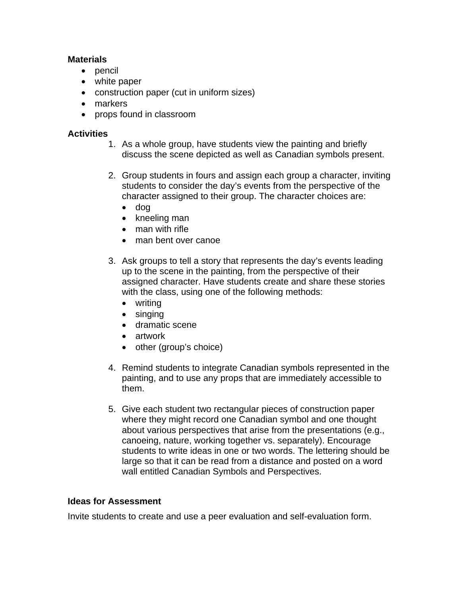#### **Materials**

- pencil
- white paper
- construction paper (cut in uniform sizes)
- markers
- props found in classroom

#### **Activities**

- 1. As a whole group, have students view the painting and briefly discuss the scene depicted as well as Canadian symbols present.
- 2. Group students in fours and assign each group a character, inviting students to consider the day's events from the perspective of the character assigned to their group. The character choices are:
	- dog
	- kneeling man
	- man with rifle
	- man bent over canoe
- 3. Ask groups to tell a story that represents the day's events leading up to the scene in the painting, from the perspective of their assigned character. Have students create and share these stories with the class, using one of the following methods:
	- writing
	- singing
	- dramatic scene
	- artwork
	- other (group's choice)
- 4. Remind students to integrate Canadian symbols represented in the painting, and to use any props that are immediately accessible to them.
- 5. Give each student two rectangular pieces of construction paper where they might record one Canadian symbol and one thought about various perspectives that arise from the presentations (e.g., canoeing, nature, working together vs. separately). Encourage students to write ideas in one or two words. The lettering should be large so that it can be read from a distance and posted on a word wall entitled Canadian Symbols and Perspectives.

#### **Ideas for Assessment**

Invite students to create and use a peer evaluation and self-evaluation form.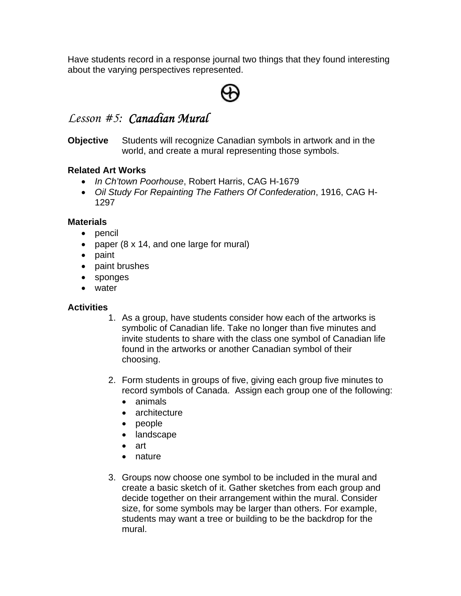Have students record in a response journal two things that they found interesting about the varying perspectives represented.



## *Lesson #5: Canadian Mural*

**Objective** Students will recognize Canadian symbols in artwork and in the world, and create a mural representing those symbols.

#### **Related Art Works**

- *In Ch'town Poorhouse*, Robert Harris, CAG H-1679
- *Oil Study For Repainting The Fathers Of Confederation*, 1916, CAG H-1297

#### **Materials**

- pencil
- paper (8 x 14, and one large for mural)
- paint
- paint brushes
- sponges
- water

#### **Activities**

- 1. As a group, have students consider how each of the artworks is symbolic of Canadian life. Take no longer than five minutes and invite students to share with the class one symbol of Canadian life found in the artworks or another Canadian symbol of their choosing.
- 2. Form students in groups of five, giving each group five minutes to record symbols of Canada. Assign each group one of the following:
	- animals
	- architecture
	- people
	- landscape
	- art
	- nature
- 3. Groups now choose one symbol to be included in the mural and create a basic sketch of it. Gather sketches from each group and decide together on their arrangement within the mural. Consider size, for some symbols may be larger than others. For example, students may want a tree or building to be the backdrop for the mural.